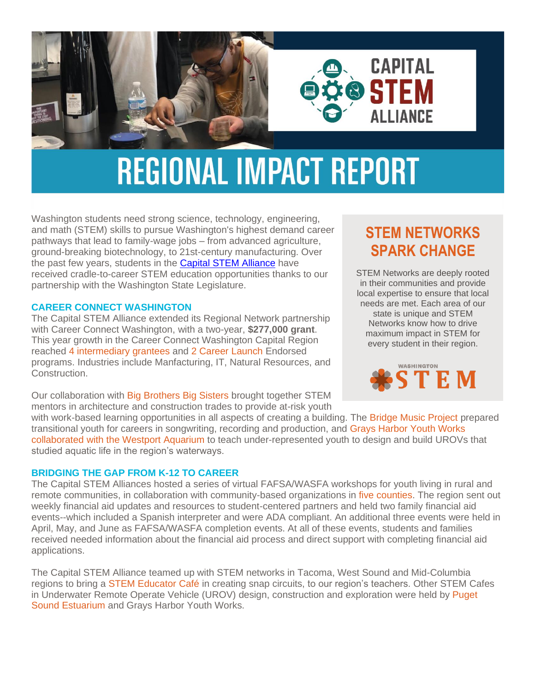



# **REGIONAL IMPACT REPORT**

Washington students need strong science, technology, engineering, and math (STEM) skills to pursue Washington's highest demand career pathways that lead to family-wage jobs – from advanced agriculture, ground-breaking biotechnology, to 21st-century manufacturing. Over the past few years, students in the Capital [STEM Alliance](https://www.esd113.org/district-support/academic-support/career-connected-learning/) have received cradle-to-career STEM education opportunities thanks to our partnership with the Washington State Legislature.

### **CAREER CONNECT WASHINGTON**

The Capital STEM Alliance extended its Regional Network partnership with Career Connect Washington, with a two-year, **\$277,000 grant**. This year growth in the Career Connect Washington Capital Region reached 4 intermediary grantees and 2 Career Launch Endorsed programs. Industries include Manfacturing, IT, Natural Resources, and Construction.

Our collaboration with Big Brothers Big Sisters brought together STEM mentors in architecture and construction trades to provide at-risk youth

# **STEM NETWORKS SPARK CHANGE**

STEM Networks are deeply rooted in their communities and provide local expertise to ensure that local needs are met. Each area of our state is unique and STEM Networks know how to drive maximum impact in STEM for every student in their region.



with work-based learning opportunities in all aspects of creating a building. The Bridge Music Project prepared transitional youth for careers in songwriting, recording and production, and Grays Harbor Youth Works collaborated with the Westport Aquarium to teach under-represented youth to design and build UROVs that studied aquatic life in the region's waterways.

# **BRIDGING THE GAP FROM K-12 TO CAREER**

The Capital STEM Alliances hosted a series of virtual FAFSA/WASFA workshops for youth living in rural and remote communities, in collaboration with community-based organizations in five counties. The region sent out weekly financial aid updates and resources to student-centered partners and held two family financial aid events--which included a Spanish interpreter and were ADA compliant. An additional three events were held in April, May, and June as FAFSA/WASFA completion events. At all of these events, students and families received needed information about the financial aid process and direct support with completing financial aid applications.

The Capital STEM Alliance teamed up with STEM networks in Tacoma, West Sound and Mid-Columbia regions to bring a STEM Educator Café in creating snap circuits, to our region's teachers. Other STEM Cafes in Underwater Remote Operate Vehicle (UROV) design, construction and exploration were held by Puget Sound Estuarium and Grays Harbor Youth Works.